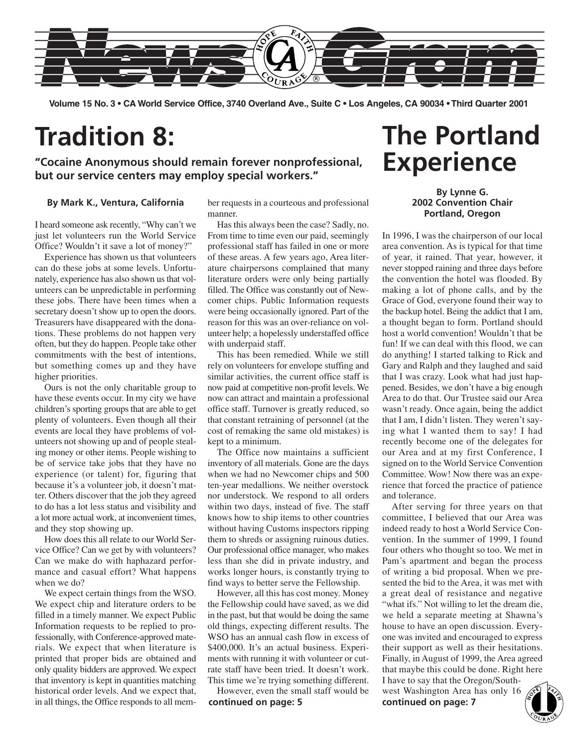

**Volume 15 No. 3 • CA World Service Office, 3740 Overland Ave., Suite C • Los Angeles, CA 90034 • Third Quarter 2001**

## **Tradition 8:**

**"Cocaine Anonymous should remain forever nonprofessional, but our service centers may employ special workers."**

#### **By Mark K., Ventura, California**

I heard someone ask recently, "Why can't we just let volunteers run the World Service Office? Wouldn't it save a lot of money?"

Experience has shown us that volunteers can do these jobs at some levels. Unfortunately, experience has also shown us that volunteers can be unpredictable in performing these jobs. There have been times when a secretary doesn't show up to open the doors. Treasurers have disappeared with the donations. These problems do not happen very often, but they do happen. People take other commitments with the best of intentions, but something comes up and they have higher priorities.

Ours is not the only charitable group to have these events occur. In my city we have children's sporting groups that are able to get plenty of volunteers. Even though all their events are local they have problems of volunteers not showing up and of people stealing money or other items. People wishing to be of service take jobs that they have no experience (or talent) for, figuring that because it's a volunteer job, it doesn't matter. Others discover that the job they agreed to do has a lot less status and visibility and a lot more actual work, at inconvenient times, and they stop showing up.

How does this all relate to our World Service Office? Can we get by with volunteers? Can we make do with haphazard performance and casual effort? What happens when we do?

We expect certain things from the WSO. We expect chip and literature orders to be filled in a timely manner. We expect Public Information requests to be replied to professionally, with Conference-approved materials. We expect that when literature is printed that proper bids are obtained and only quality bidders are approved. We expect that inventory is kept in quantities matching historical order levels. And we expect that, in all things, the Office responds to all member requests in a courteous and professional manner.

Has this always been the case? Sadly, no. From time to time even our paid, seemingly professional staff has failed in one or more of these areas. A few years ago, Area literature chairpersons complained that many literature orders were only being partially filled. The Office was constantly out of Newcomer chips. Public Information requests were being occasionally ignored. Part of the reason for this was an over-reliance on volunteer help; a hopelessly understaffed office with underpaid staff.

This has been remedied. While we still rely on volunteers for envelope stuffing and similar activities, the current office staff is now paid at competitive non-profit levels. We now can attract and maintain a professional office staff. Turnover is greatly reduced, so that constant retraining of personnel (at the cost of remaking the same old mistakes) is kept to a minimum.

The Office now maintains a sufficient inventory of all materials. Gone are the days when we had no Newcomer chips and 500 ten-year medallions. We neither overstock nor understock. We respond to all orders within two days, instead of five. The staff knows how to ship items to other countries without having Customs inspectors ripping them to shreds or assigning ruinous duties. Our professional office manager, who makes less than she did in private industry, and works longer hours, is constantly trying to find ways to better serve the Fellowship.

However, all this has cost money. Money the Fellowship could have saved, as we did in the past, but that would be doing the same old things, expecting different results. The WSO has an annual cash flow in excess of \$400,000. It's an actual business. Experiments with running it with volunteer or cutrate staff have been tried. It doesn't work. This time we're trying something different.

However, even the small staff would be This time we're trying something different. I have to say that the Oregon/South-<br>However, even the small staff would be west Washington Area has only 16 **continued on page: 5 continued on page: 7** 

## **The Portland Experience**

### **By Lynne G. 2002 Convention Chair Portland, Oregon**

In 1996, I was the chairperson of our local area convention. As is typical for that time of year, it rained. That year, however, it never stopped raining and three days before the convention the hotel was flooded. By making a lot of phone calls, and by the Grace of God, everyone found their way to the backup hotel. Being the addict that I am, a thought began to form. Portland should host a world convention! Wouldn't that be fun! If we can deal with this flood, we can do anything! I started talking to Rick and Gary and Ralph and they laughed and said that I was crazy. Look what had just happened. Besides, we don't have a big enough Area to do that. Our Trustee said our Area wasn't ready. Once again, being the addict that I am, I didn't listen. They weren't saying what I wanted them to say! I had recently become one of the delegates for our Area and at my first Conference, I signed on to the World Service Convention Committee. Wow! Now there was an experience that forced the practice of patience and tolerance.

After serving for three years on that committee, I believed that our Area was indeed ready to host a World Service Convention. In the summer of 1999, I found four others who thought so too. We met in Pam's apartment and began the process of writing a bid proposal. When we presented the bid to the Area, it was met with a great deal of resistance and negative "what ifs." Not willing to let the dream die, we held a separate meeting at Shawna's house to have an open discussion. Everyone was invited and encouraged to express their support as well as their hesitations. Finally, in August of 1999, the Area agreed that maybe this could be done. Right here I have to say that the Oregon/South-

west Washington Area has only 16

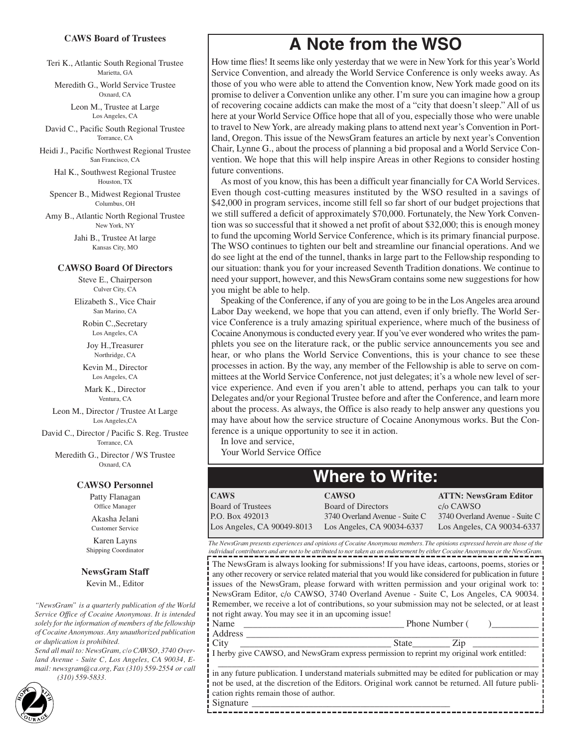#### **CAWS Board of Trustees**

Teri K., Atlantic South Regional Trustee Marietta, GA

Meredith G., World Service Trustee Oxnard, CA

> Leon M., Trustee at Large Los Angeles, CA

David C., Pacific South Regional Trustee Torrance, CA

Heidi J., Pacific Northwest Regional Trustee San Francisco, CA

> Hal K., Southwest Regional Trustee Houston, TX

Spencer B., Midwest Regional Trustee Columbus, OH

Amy B., Atlantic North Regional Trustee New York, NY

> Jahi B., Trustee At large Kansas City, MO

#### **CAWSO Board Of Directors**

Steve E., Chairperson Culver City, CA

Elizabeth S., Vice Chair San Marino, CA

Robin C.,Secretary Los Angeles, CA

Joy H.,Treasurer Northridge, CA

Kevin M., Director Los Angeles, CA

Mark K., Director Ventura, CA

Leon M., Director / Trustee At Large Los Angeles,CA

David C., Director / Pacific S. Reg. Trustee Torrance, CA

Meredith G., Director / WS Trustee Oxnard, CA

#### **CAWSO Personnel**

Patty Flanagan Office Manager

Akasha Jelani Customer Service

Karen Layns Shipping Coordinator

#### **NewsGram Staff**

Kevin M., Editor

*"NewsGram" is a quarterly publication of the World Service Office of Cocaine Anonymous. It is intended solely for the information of members of the fellowship of Cocaine Anonymous. Any unauthorized publication or duplication is prohibited.*

*Send all mail to: NewsGram, c/o CAWSO, 3740 Overland Avenue - Suite C, Los Angeles, CA 90034, Email: newsgram@ca.org, Fax (310) 559-2554 or call (310) 559-5833.*

2

### **A Note from the WSO**

How time flies! It seems like only yesterday that we were in New York for this year's World Service Convention, and already the World Service Conference is only weeks away. As those of you who were able to attend the Convention know, New York made good on its promise to deliver a Convention unlike any other. I'm sure you can imagine how a group of recovering cocaine addicts can make the most of a "city that doesn't sleep." All of us here at your World Service Office hope that all of you, especially those who were unable to travel to New York, are already making plans to attend next year's Convention in Portland, Oregon. This issue of the NewsGram features an article by next year's Convention Chair, Lynne G., about the process of planning a bid proposal and a World Service Convention. We hope that this will help inspire Areas in other Regions to consider hosting future conventions.

As most of you know, this has been a difficult year financially for CA World Services. Even though cost-cutting measures instituted by the WSO resulted in a savings of \$42,000 in program services, income still fell so far short of our budget projections that we still suffered a deficit of approximately \$70,000. Fortunately, the New York Convention was so successful that it showed a net profit of about \$32,000; this is enough money to fund the upcoming World Service Conference, which is its primary financial purpose. The WSO continues to tighten our belt and streamline our financial operations. And we do see light at the end of the tunnel, thanks in large part to the Fellowship responding to our situation: thank you for your increased Seventh Tradition donations. We continue to need your support, however, and this NewsGram contains some new suggestions for how you might be able to help.

Speaking of the Conference, if any of you are going to be in the Los Angeles area around Labor Day weekend, we hope that you can attend, even if only briefly. The World Service Conference is a truly amazing spiritual experience, where much of the business of Cocaine Anonymous is conducted every year. If you've ever wondered who writes the pamphlets you see on the literature rack, or the public service announcements you see and hear, or who plans the World Service Conventions, this is your chance to see these processes in action. By the way, any member of the Fellowship is able to serve on committees at the World Service Conference, not just delegates; it's a whole new level of service experience. And even if you aren't able to attend, perhaps you can talk to your Delegates and/or your Regional Trustee before and after the Conference, and learn more about the process. As always, the Office is also ready to help answer any questions you may have about how the service structure of Cocaine Anonymous works. But the Conference is a unique opportunity to see it in action.

In love and service,

Your World Service Office

### **Where to Write:**

**CAWS** Board of Trustees P.O. Box 492013 Los Angeles, CA 90049-8013 **CAWSO** Board of Directors 3740 Overland Avenue - Suite C Los Angeles, CA 90034-6337 **ATTN: NewsGram Editor** c/o CAWSO 3740 Overland Avenue - Suite C Los Angeles, CA 90034-6337

*The NewsGram presents experiences and opinions of Cocaine Anonymous members. The opinions expressed herein are those of the individual contributors and are not to be attributed to nor taken as an endorsement by either Cocaine Anonymous or the NewsGram.*

The NewsGram is always looking for submissions! If you have ideas, cartoons, poems, stories or any other recovery or service related material that you would like considered for publication in future issues of the NewsGram, please forward with written permission and your original work to: NewsGram Editor, c/o CAWSO, 3740 Overland Avenue - Suite C, Los Angeles, CA 90034. Remember, we receive a lot of contributions, so your submission may not be selected, or at least not right away. You may see it in an upcoming issue!

| $\sim$<br>аню         | Phone<br>lumber |
|-----------------------|-----------------|
| ruultss               |                 |
| $\mathbf{I}$<br>L CIU | اللاسم          |

I herby give CAWSO, and NewsGram express permission to reprint my original work entitled:

in any future publication. I understand materials submitted may be edited for publication or may not be used, at the discretion of the Editors. Original work cannot be returned. All future publication rights remain those of author.

----------------------------------

\_\_\_\_\_\_\_\_\_\_\_\_\_\_\_\_\_\_\_\_\_\_\_\_\_\_\_\_\_\_\_\_\_\_\_\_\_\_\_\_\_\_\_\_\_\_\_\_\_\_\_\_\_\_\_\_\_\_\_\_\_\_\_\_\_\_\_\_

Signature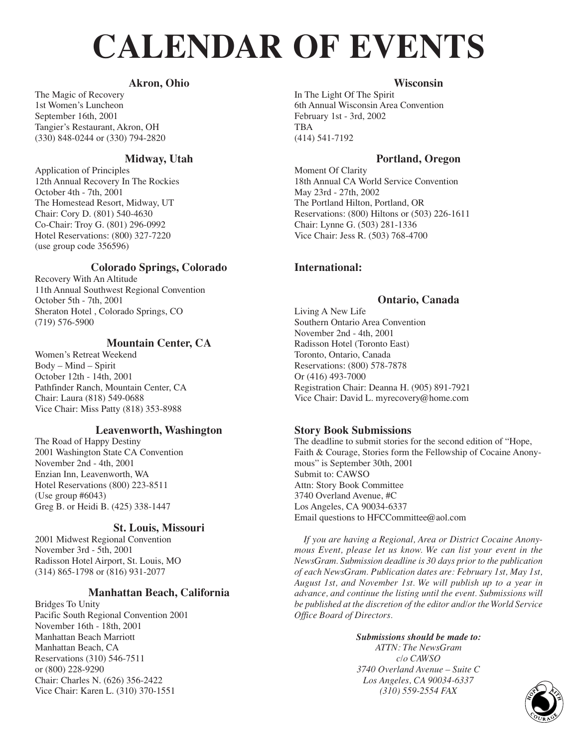# **CALENDAR OF EVENTS**

### **Akron, Ohio**

The Magic of Recovery 1st Women's Luncheon September 16th, 2001 Tangier's Restaurant, Akron, OH (330) 848-0244 or (330) 794-2820

### **Midway, Utah**

Application of Principles 12th Annual Recovery In The Rockies October 4th - 7th, 2001 The Homestead Resort, Midway, UT Chair: Cory D. (801) 540-4630 Co-Chair: Troy G. (801) 296-0992 Hotel Reservations: (800) 327-7220 (use group code 356596)

### **Colorado Springs, Colorado**

Recovery With An Altitude 11th Annual Southwest Regional Convention October 5th - 7th, 2001 Sheraton Hotel , Colorado Springs, CO (719) 576-5900

### **Mountain Center, CA**

Women's Retreat Weekend Body – Mind – Spirit October 12th - 14th, 2001 Pathfinder Ranch, Mountain Center, CA Chair: Laura (818) 549-0688 Vice Chair: Miss Patty (818) 353-8988

### **Leavenworth, Washington**

The Road of Happy Destiny 2001 Washington State CA Convention November 2nd - 4th, 2001 Enzian Inn, Leavenworth, WA Hotel Reservations (800) 223-8511 (Use group #6043) Greg B. or Heidi B. (425) 338-1447

### **St. Louis, Missouri**

2001 Midwest Regional Convention November 3rd - 5th, 2001 Radisson Hotel Airport, St. Louis, MO (314) 865-1798 or (816) 931-2077

### **Manhattan Beach, California**

Bridges To Unity Pacific South Regional Convention 2001 November 16th - 18th, 2001 Manhattan Beach Marriott Manhattan Beach, CA Reservations (310) 546-7511 or (800) 228-9290 Chair: Charles N. (626) 356-2422 Vice Chair: Karen L. (310) 370-1551

### **Wisconsin**

In The Light Of The Spirit 6th Annual Wisconsin Area Convention February 1st - 3rd, 2002 TBA (414) 541-7192

### **Portland, Oregon**

Moment Of Clarity 18th Annual CA World Service Convention May 23rd - 27th, 2002 The Portland Hilton, Portland, OR Reservations: (800) Hiltons or (503) 226-1611 Chair: Lynne G. (503) 281-1336 Vice Chair: Jess R. (503) 768-4700

### **International:**

### **Ontario, Canada**

Living A New Life Southern Ontario Area Convention November 2nd - 4th, 2001 Radisson Hotel (Toronto East) Toronto, Ontario, Canada Reservations: (800) 578-7878 Or (416) 493-7000 Registration Chair: Deanna H. (905) 891-7921 Vice Chair: David L. myrecovery@home.com

### **Story Book Submissions**

The deadline to submit stories for the second edition of "Hope, Faith & Courage, Stories form the Fellowship of Cocaine Anonymous" is September 30th, 2001 Submit to: CAWSO Attn: Story Book Committee 3740 Overland Avenue, #C Los Angeles, CA 90034-6337 Email questions to HFCCommittee@aol.com

*If you are having a Regional, Area or District Cocaine Anonymous Event, please let us know. We can list your event in the NewsGram. Submission deadline is 30 days prior to the publication of each NewsGram. Publication dates are: February 1st, May 1st, August 1st, and November 1st. We will publish up to a year in advance, and continue the listing until the event. Submissions will be published at the discretion of the editor and/or the World Service Office Board of Directors.*

### *Submissions should be made to:*

*ATTN: The NewsGram c/o CAWSO 3740 Overland Avenue – Suite C Los Angeles, CA 90034-6337 (310) 559-2554 FAX*  $(310)$  559-2554 *FAX*  $\begin{pmatrix} 50 \\ 20 \\ 20 \\ 20 \\ 20 \\ 3 \end{pmatrix}$ 

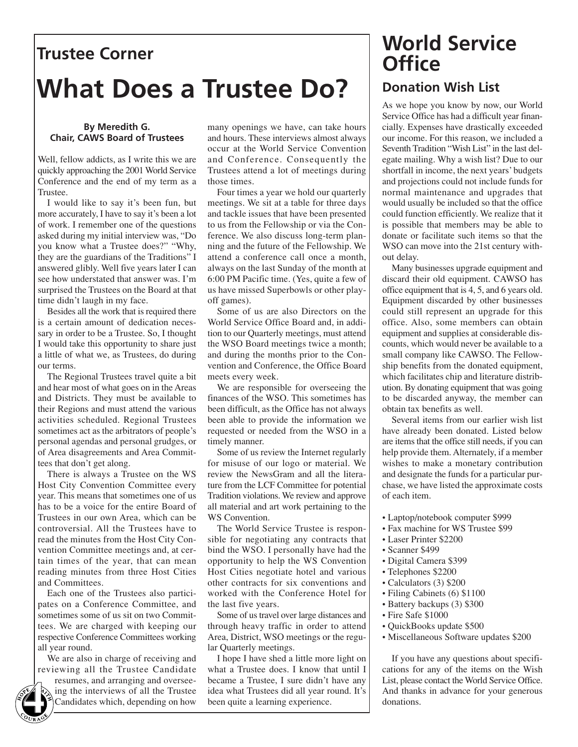## **Trustee Corner What Does a Trustee Do?**

### **By Meredith G. Chair, CAWS Board of Trustees**

Well, fellow addicts, as I write this we are quickly approaching the 2001 World Service Conference and the end of my term as a Trustee.

I would like to say it's been fun, but more accurately, I have to say it's been a lot of work. I remember one of the questions asked during my initial interview was, "Do you know what a Trustee does?" "Why, they are the guardians of the Traditions" I answered glibly. Well five years later I can see how understated that answer was. I'm surprised the Trustees on the Board at that time didn't laugh in my face.

Besides all the work that is required there is a certain amount of dedication necessary in order to be a Trustee. So, I thought I would take this opportunity to share just a little of what we, as Trustees, do during our terms.

The Regional Trustees travel quite a bit and hear most of what goes on in the Areas and Districts. They must be available to their Regions and must attend the various activities scheduled. Regional Trustees sometimes act as the arbitrators of people's personal agendas and personal grudges, or of Area disagreements and Area Committees that don't get along.

There is always a Trustee on the WS Host City Convention Committee every year. This means that sometimes one of us has to be a voice for the entire Board of Trustees in our own Area, which can be controversial. All the Trustees have to read the minutes from the Host City Convention Committee meetings and, at certain times of the year, that can mean reading minutes from three Host Cities and Committees.

Each one of the Trustees also participates on a Conference Committee, and sometimes some of us sit on two Committees. We are charged with keeping our respective Conference Committees working all year round.

We are also in charge of receiving and reviewing all the Trustee Candidate



resumes, and arranging and overseeing the interviews of all the Trustee Candidates which, depending on how

many openings we have, can take hours and hours. These interviews almost always occur at the World Service Convention and Conference. Consequently the Trustees attend a lot of meetings during those times.

Four times a year we hold our quarterly meetings. We sit at a table for three days and tackle issues that have been presented to us from the Fellowship or via the Conference. We also discuss long-term planning and the future of the Fellowship. We attend a conference call once a month, always on the last Sunday of the month at 6:00 PM Pacific time. (Yes, quite a few of us have missed Superbowls or other playoff games).

Some of us are also Directors on the World Service Office Board and, in addition to our Quarterly meetings, must attend the WSO Board meetings twice a month; and during the months prior to the Convention and Conference, the Office Board meets every week.

We are responsible for overseeing the finances of the WSO. This sometimes has been difficult, as the Office has not always been able to provide the information we requested or needed from the WSO in a timely manner.

Some of us review the Internet regularly for misuse of our logo or material. We review the NewsGram and all the literature from the LCF Committee for potential Tradition violations. We review and approve all material and art work pertaining to the WS Convention.

The World Service Trustee is responsible for negotiating any contracts that bind the WSO. I personally have had the opportunity to help the WS Convention Host Cities negotiate hotel and various other contracts for six conventions and worked with the Conference Hotel for the last five years.

Some of us travel over large distances and through heavy traffic in order to attend Area, District, WSO meetings or the regular Quarterly meetings.

I hope I have shed a little more light on what a Trustee does. I know that until I became a Trustee, I sure didn't have any idea what Trustees did all year round. It's been quite a learning experience.

### **World Service Office Donation Wish List**

As we hope you know by now, our World Service Office has had a difficult year financially. Expenses have drastically exceeded our income. For this reason, we included a Seventh Tradition "Wish List" in the last delegate mailing. Why a wish list? Due to our shortfall in income, the next years' budgets and projections could not include funds for normal maintenance and upgrades that would usually be included so that the office could function efficiently. We realize that it is possible that members may be able to donate or facilitate such items so that the WSO can move into the 21st century without delay.

Many businesses upgrade equipment and discard their old equipment. CAWSO has office equipment that is 4, 5, and 6 years old. Equipment discarded by other businesses could still represent an upgrade for this office. Also, some members can obtain equipment and supplies at considerable discounts, which would never be available to a small company like CAWSO. The Fellowship benefits from the donated equipment, which facilitates chip and literature distribution. By donating equipment that was going to be discarded anyway, the member can obtain tax benefits as well.

Several items from our earlier wish list have already been donated. Listed below are items that the office still needs, if you can help provide them. Alternately, if a member wishes to make a monetary contribution and designate the funds for a particular purchase, we have listed the approximate costs of each item.

- Laptop/notebook computer \$999
- Fax machine for WS Trustee \$99
- Laser Printer \$2200
- Scanner \$499
- Digital Camera \$399
- Telephones \$2200
- Calculators (3) \$200
- Filing Cabinets (6) \$1100
- Battery backups (3) \$300
- Fire Safe \$1000
- QuickBooks update \$500
- Miscellaneous Software updates \$200

If you have any questions about specifications for any of the items on the Wish List, please contact the World Service Office.<br>And thanks in advance for your generous The resumes, and arranging and oversee-became a Trustee, I sure didn't have any List, please contact the World Service Office.<br>
Ing the interviews of all the Trustee-idea what Trustees did all year round. It's And thanks i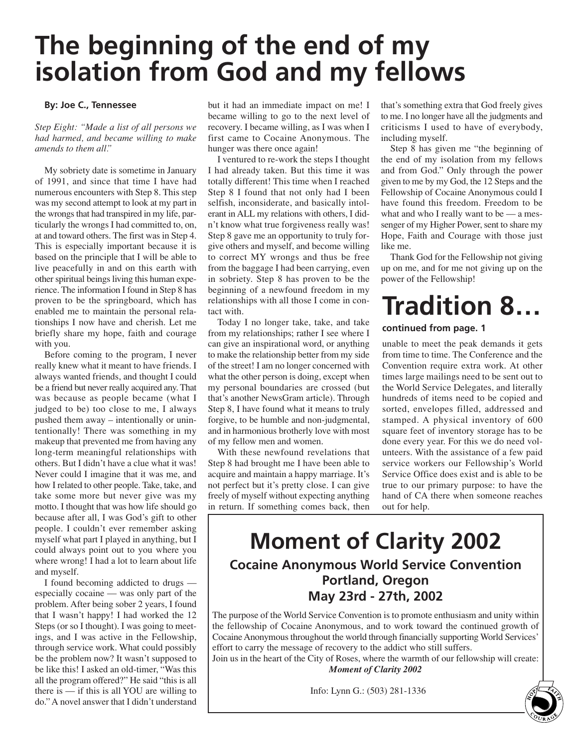## **The beginning of the end of my isolation from God and my fellows**

#### **By: Joe C., Tennessee**

*Step Eight: "Made a list of all persons we had harmed, and became willing to make amends to them all."*

My sobriety date is sometime in January of 1991, and since that time I have had numerous encounters with Step 8. This step was my second attempt to look at my part in the wrongs that had transpired in my life, particularly the wrongs I had committed to, on, at and toward others. The first was in Step 4. This is especially important because it is based on the principle that I will be able to live peacefully in and on this earth with other spiritual beings living this human experience. The information I found in Step 8 has proven to be the springboard, which has enabled me to maintain the personal relationships I now have and cherish. Let me briefly share my hope, faith and courage with you.

Before coming to the program, I never really knew what it meant to have friends. I always wanted friends, and thought I could be a friend but never really acquired any. That was because as people became (what I judged to be) too close to me, I always pushed them away – intentionally or unintentionally! There was something in my makeup that prevented me from having any long-term meaningful relationships with others. But I didn't have a clue what it was! Never could I imagine that it was me, and how I related to other people. Take, take, and take some more but never give was my motto. I thought that was how life should go because after all, I was God's gift to other people. I couldn't ever remember asking myself what part I played in anything, but I could always point out to you where you where wrong! I had a lot to learn about life and myself.

I found becoming addicted to drugs especially cocaine — was only part of the problem. After being sober 2 years, I found that I wasn't happy! I had worked the 12 Steps (or so I thought). I was going to meetings, and I was active in the Fellowship, through service work. What could possibly be the problem now? It wasn't supposed to be like this! I asked an old-timer, "Was this all the program offered?" He said "this is all there is — if this is all YOU are willing to do." A novel answer that I didn't understand

but it had an immediate impact on me! I became willing to go to the next level of recovery. I became willing, as I was when I first came to Cocaine Anonymous. The hunger was there once again!

I ventured to re-work the steps I thought I had already taken. But this time it was totally different! This time when I reached Step 8 I found that not only had I been selfish, inconsiderate, and basically intolerant in ALL my relations with others, I didn't know what true forgiveness really was! Step 8 gave me an opportunity to truly forgive others and myself, and become willing to correct MY wrongs and thus be free from the baggage I had been carrying, even in sobriety. Step 8 has proven to be the beginning of a newfound freedom in my relationships with all those I come in contact with.

Today I no longer take, take, and take from my relationships; rather I see where I can give an inspirational word, or anything to make the relationship better from my side of the street! I am no longer concerned with what the other person is doing, except when my personal boundaries are crossed (but that's another NewsGram article). Through Step 8, I have found what it means to truly forgive, to be humble and non-judgmental, and in harmonious brotherly love with most of my fellow men and women.

With these newfound revelations that Step 8 had brought me I have been able to acquire and maintain a happy marriage. It's not perfect but it's pretty close. I can give freely of myself without expecting anything in return. If something comes back, then

that's something extra that God freely gives to me. I no longer have all the judgments and criticisms I used to have of everybody, including myself.

Step 8 has given me "the beginning of the end of my isolation from my fellows and from God." Only through the power given to me by my God, the 12 Steps and the Fellowship of Cocaine Anonymous could I have found this freedom. Freedom to be what and who I really want to be — a messenger of my Higher Power, sent to share my Hope, Faith and Courage with those just like me.

Thank God for the Fellowship not giving up on me, and for me not giving up on the power of the Fellowship!

## **Tradition 8…**

### **continued from page. 1**

unable to meet the peak demands it gets from time to time. The Conference and the Convention require extra work. At other times large mailings need to be sent out to the World Service Delegates, and literally hundreds of items need to be copied and sorted, envelopes filled, addressed and stamped. A physical inventory of 600 square feet of inventory storage has to be done every year. For this we do need volunteers. With the assistance of a few paid service workers our Fellowship's World Service Office does exist and is able to be true to our primary purpose: to have the hand of CA there when someone reaches out for help.

### **Moment of Clarity 2002 Cocaine Anonymous World Service Convention Portland, Oregon May 23rd - 27th, 2002**

The purpose of the World Service Convention is to promote enthusiasm and unity within the fellowship of Cocaine Anonymous, and to work toward the continued growth of Cocaine Anonymous throughout the world through financially supporting World Services' effort to carry the message of recovery to the addict who still suffers.

Join us in the heart of the City of Roses, where the warmth of our fellowship will create: *Moment of Clarity 2002*

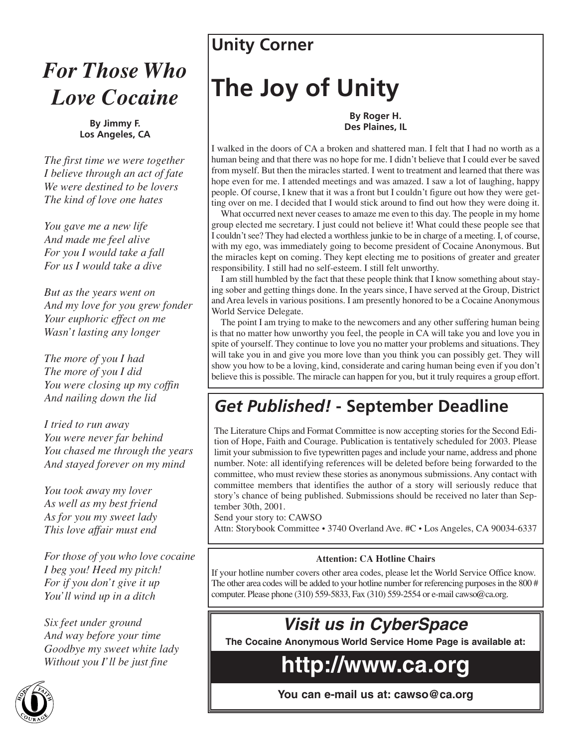## *For Those Who Love Cocaine*

**By Jimmy F. Los Angeles, CA**

*The first time we were together I believe through an act of fate We were destined to be lovers The kind of love one hates*

*You gave me a new life And made me feel alive For you I would take a fall For us I would take a dive*

*But as the years went on And my love for you grew fonder Your euphoric effect on me Wasn't lasting any longer*

*The more of you I had The more of you I did You were closing up my coffin And nailing down the lid*

*I tried to run away You were never far behind You chased me through the years And stayed forever on my mind*

*You took away my lover As well as my best friend As for you my sweet lady This love affair must end*

*For those of you who love cocaine I beg you! Heed my pitch! For if you don't give it up You'll wind up in a ditch*

*Six feet under ground And way before your time Goodbye my sweet white lady Without you I'll be just fine*



### **Unity Corner**

# **The Joy of Unity**

### **By Roger H. Des Plaines, IL**

I walked in the doors of CA a broken and shattered man. I felt that I had no worth as a human being and that there was no hope for me. I didn't believe that I could ever be saved from myself. But then the miracles started. I went to treatment and learned that there was hope even for me. I attended meetings and was amazed. I saw a lot of laughing, happy people. Of course, I knew that it was a front but I couldn't figure out how they were getting over on me. I decided that I would stick around to find out how they were doing it.

What occurred next never ceases to amaze me even to this day. The people in my home group elected me secretary. I just could not believe it! What could these people see that I couldn't see? They had elected a worthless junkie to be in charge of a meeting. I, of course, with my ego, was immediately going to become president of Cocaine Anonymous. But the miracles kept on coming. They kept electing me to positions of greater and greater responsibility. I still had no self-esteem. I still felt unworthy.

I am still humbled by the fact that these people think that I know something about staying sober and getting things done. In the years since, I have served at the Group, District and Area levels in various positions. I am presently honored to be a Cocaine Anonymous World Service Delegate.

The point I am trying to make to the newcomers and any other suffering human being is that no matter how unworthy you feel, the people in CA will take you and love you in spite of yourself. They continue to love you no matter your problems and situations. They will take you in and give you more love than you think you can possibly get. They will show you how to be a loving, kind, considerate and caring human being even if you don't believe this is possible. The miracle can happen for you, but it truly requires a group effort.

### *Get Published!* **- September Deadline**

The Literature Chips and Format Committee is now accepting stories for the Second Edition of Hope, Faith and Courage. Publication is tentatively scheduled for 2003. Please limit your submission to five typewritten pages and include your name, address and phone number. Note: all identifying references will be deleted before being forwarded to the committee, who must review these stories as anonymous submissions. Any contact with committee members that identifies the author of a story will seriously reduce that story's chance of being published. Submissions should be received no later than September 30th, 2001.

Send your story to: CAWSO

Attn: Storybook Committee • 3740 Overland Ave. #C • Los Angeles, CA 90034-6337

### **Attention: CA Hotline Chairs**

If your hotline number covers other area codes, please let the World Service Office know. The other area codes will be added to your hotline number for referencing purposes in the 800 # computer. Please phone (310) 559-5833, Fax (310) 559-2554 or e-mail cawso@ca.org.

### *Visit us in CyberSpace*

**The Cocaine Anonymous World Service Home Page is available at:**

## **http://www.ca.org**

**You can e-mail us at: cawso@ca.org**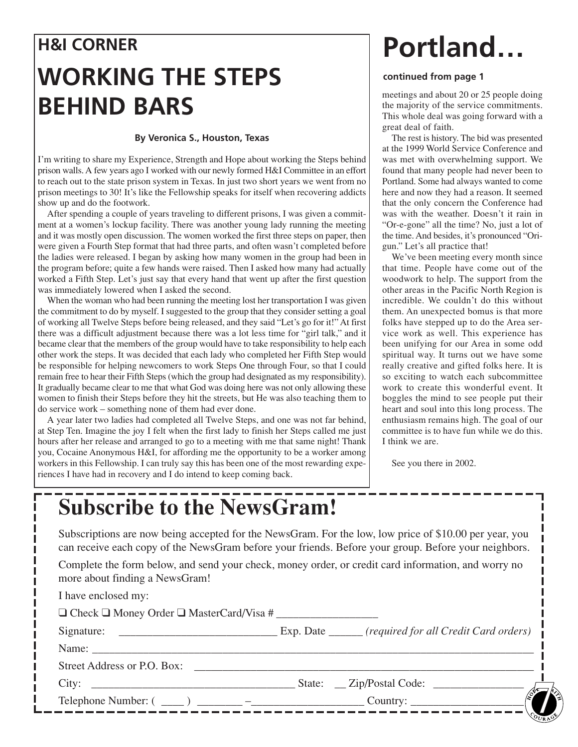## **H&I CORNER WORKING THE STEPS BEHIND BARS**

### **By Veronica S., Houston, Texas**

I'm writing to share my Experience, Strength and Hope about working the Steps behind prison walls. A few years ago I worked with our newly formed H&I Committee in an effort to reach out to the state prison system in Texas. In just two short years we went from no prison meetings to 30! It's like the Fellowship speaks for itself when recovering addicts show up and do the footwork.

After spending a couple of years traveling to different prisons, I was given a commitment at a women's lockup facility. There was another young lady running the meeting and it was mostly open discussion. The women worked the first three steps on paper, then were given a Fourth Step format that had three parts, and often wasn't completed before the ladies were released. I began by asking how many women in the group had been in the program before; quite a few hands were raised. Then I asked how many had actually worked a Fifth Step. Let's just say that every hand that went up after the first question was immediately lowered when I asked the second.

When the woman who had been running the meeting lost her transportation I was given the commitment to do by myself. I suggested to the group that they consider setting a goal of working all Twelve Steps before being released, and they said "Let's go for it!" At first there was a difficult adjustment because there was a lot less time for "girl talk," and it became clear that the members of the group would have to take responsibility to help each other work the steps. It was decided that each lady who completed her Fifth Step would be responsible for helping newcomers to work Steps One through Four, so that I could remain free to hear their Fifth Steps (which the group had designated as my responsibility). It gradually became clear to me that what God was doing here was not only allowing these women to finish their Steps before they hit the streets, but He was also teaching them to do service work – something none of them had ever done.

A year later two ladies had completed all Twelve Steps, and one was not far behind, at Step Ten. Imagine the joy I felt when the first lady to finish her Steps called me just hours after her release and arranged to go to a meeting with me that same night! Thank you, Cocaine Anonymous H&I, for affording me the opportunity to be a worker among workers in this Fellowship. I can truly say this has been one of the most rewarding experiences I have had in recovery and I do intend to keep coming back.

# **Portland…**

### **continued from page 1**

meetings and about 20 or 25 people doing the majority of the service commitments. This whole deal was going forward with a great deal of faith.

The rest is history. The bid was presented at the 1999 World Service Conference and was met with overwhelming support. We found that many people had never been to Portland. Some had always wanted to come here and now they had a reason. It seemed that the only concern the Conference had was with the weather. Doesn't it rain in "Or-e-gone" all the time? No, just a lot of the time. And besides, it's pronounced "Origun." Let's all practice that!

We've been meeting every month since that time. People have come out of the woodwork to help. The support from the other areas in the Pacific North Region is incredible. We couldn't do this without them. An unexpected bomus is that more folks have stepped up to do the Area service work as well. This experience has been unifying for our Area in some odd spiritual way. It turns out we have some really creative and gifted folks here. It is so exciting to watch each subcommittee work to create this wonderful event. It boggles the mind to see people put their heart and soul into this long process. The enthusiasm remains high. The goal of our committee is to have fun while we do this. I think we are.

See you there in 2002.

## **Subscribe to the NewsGram!**

Subscriptions are now being accepted for the NewsGram. For the low, low price of \$10.00 per year, you can receive each copy of the NewsGram before your friends. Before your group. Before your neighbors.

Complete the form below, and send your check, money order, or credit card information, and worry no more about finding a NewsGram!

| I have enclosed my:                                      |                                                                                                                                                                                                                                                                                                                                                                                                                                  |
|----------------------------------------------------------|----------------------------------------------------------------------------------------------------------------------------------------------------------------------------------------------------------------------------------------------------------------------------------------------------------------------------------------------------------------------------------------------------------------------------------|
| $\Box$ Check $\Box$ Money Order $\Box$ MasterCard/Visa # |                                                                                                                                                                                                                                                                                                                                                                                                                                  |
|                                                          |                                                                                                                                                                                                                                                                                                                                                                                                                                  |
|                                                          |                                                                                                                                                                                                                                                                                                                                                                                                                                  |
| Street Address or P.O. Box:                              |                                                                                                                                                                                                                                                                                                                                                                                                                                  |
|                                                          |                                                                                                                                                                                                                                                                                                                                                                                                                                  |
|                                                          | Telephone Number: $(\underline{\hspace{1cm}})$ $\underline{\hspace{1cm}}$ $ \underline{\hspace{1cm}}$ $ \underline{\hspace{1cm}}$ $\overline{\hspace{1cm}}$ $\underline{\hspace{1cm}}$ $\overline{\hspace{1cm}}$ $\overline{\hspace{1cm}}$ $\overline{\hspace{1cm}}$ $\overline{\hspace{1cm}}$ $\overline{\hspace{1cm}}$ $\overline{\hspace{1cm}}$ $\overline{\hspace{1cm}}$ $\overline{\hspace{1cm}}$ $\overline{\hspace{1cm}}$ |
|                                                          |                                                                                                                                                                                                                                                                                                                                                                                                                                  |